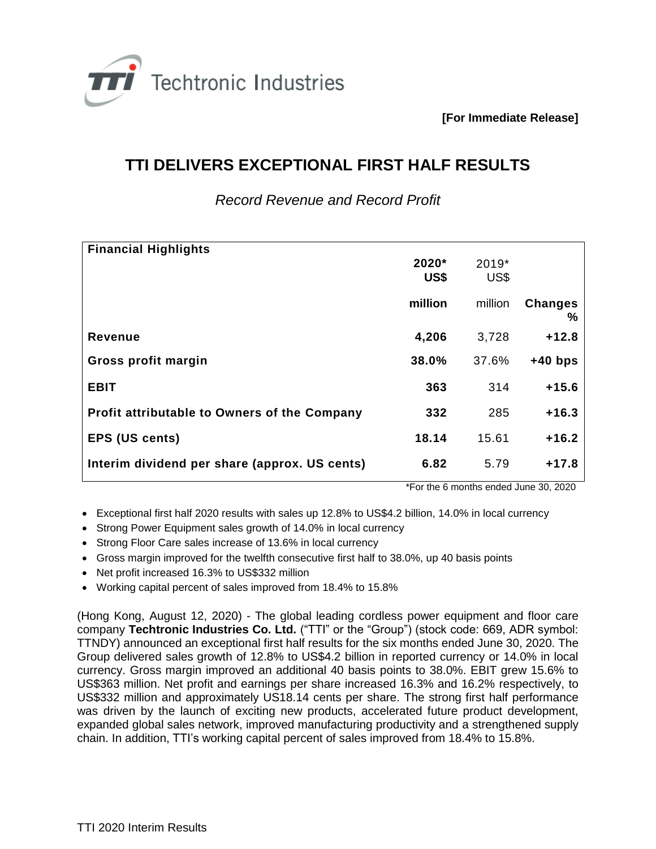

**[For Immediate Release]**

## **TTI DELIVERS EXCEPTIONAL FIRST HALF RESULTS**

*Record Revenue and Record Profit*

| <b>Financial Highlights</b>                         |         |         |                     |
|-----------------------------------------------------|---------|---------|---------------------|
|                                                     | 2020*   | 2019*   |                     |
|                                                     | US\$    | US\$    |                     |
|                                                     | million | million | <b>Changes</b><br>% |
| <b>Revenue</b>                                      | 4,206   | 3,728   | $+12.8$             |
| Gross profit margin                                 | 38.0%   | 37.6%   | $+40$ bps           |
| <b>EBIT</b>                                         | 363     | 314     | $+15.6$             |
| <b>Profit attributable to Owners of the Company</b> | 332     | 285     | $+16.3$             |
| <b>EPS (US cents)</b>                               | 18.14   | 15.61   | $+16.2$             |
| Interim dividend per share (approx. US cents)       | 6.82    | 5.79    | +17.8               |

\*For the 6 months ended June 30, 2020

- Exceptional first half 2020 results with sales up 12.8% to US\$4.2 billion, 14.0% in local currency
- Strong Power Equipment sales growth of 14.0% in local currency
- Strong Floor Care sales increase of 13.6% in local currency
- Gross margin improved for the twelfth consecutive first half to 38.0%, up 40 basis points
- Net profit increased 16.3% to US\$332 million
- Working capital percent of sales improved from 18.4% to 15.8%

(Hong Kong, August 12, 2020) - The global leading cordless power equipment and floor care company **Techtronic Industries Co. Ltd.** ("TTI" or the "Group") (stock code: 669, ADR symbol: TTNDY) announced an exceptional first half results for the six months ended June 30, 2020. The Group delivered sales growth of 12.8% to US\$4.2 billion in reported currency or 14.0% in local currency. Gross margin improved an additional 40 basis points to 38.0%. EBIT grew 15.6% to US\$363 million. Net profit and earnings per share increased 16.3% and 16.2% respectively, to US\$332 million and approximately US18.14 cents per share. The strong first half performance was driven by the launch of exciting new products, accelerated future product development, expanded global sales network, improved manufacturing productivity and a strengthened supply chain. In addition, TTI's working capital percent of sales improved from 18.4% to 15.8%.